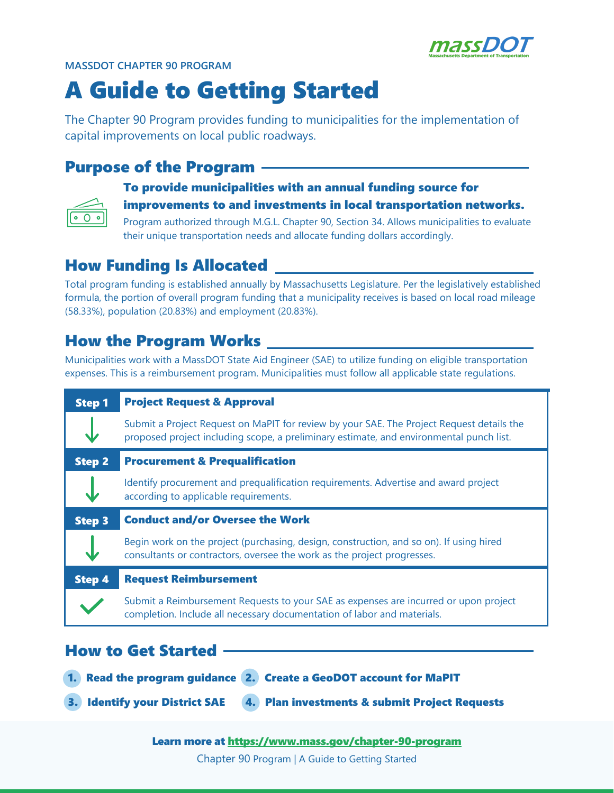

#### **MASSDOT CHAPTER 90 PROGRAM**

# A Guide to Getting Started

The Chapter 90 Program provides funding to municipalities for the implementation of capital improvements on local public roadways.

## Purpose of the Program

## To provide municipalities with an annual funding source for improvements to and investments in local transportation networks.

Program authorized through M.G.L. Chapter 90, Section 34. Allows municipalities to evaluate their unique transportation needs and allocate funding dollars accordingly.

# How Funding Is Allocated

Total program funding is established annually by Massachusetts Legislature. Per the legislatively established formula, the portion of overall program funding that a municipality receives is based on local road mileage (58.33%), population (20.83%) and employment (20.83%).

# How the Program Works

Municipalities work with a MassDOT State Aid Engineer (SAE) to utilize funding on eligible transportation expenses. This is a reimbursement program. Municipalities must follow all applicable state regulations.

| <b>Step 1</b> | <b>Project Request &amp; Approval</b>                                                                                                                                                |  |
|---------------|--------------------------------------------------------------------------------------------------------------------------------------------------------------------------------------|--|
|               | Submit a Project Request on MaPIT for review by your SAE. The Project Request details the<br>proposed project including scope, a preliminary estimate, and environmental punch list. |  |
| <b>Step 2</b> | <b>Procurement &amp; Prequalification</b>                                                                                                                                            |  |
|               | Identify procurement and prequalification requirements. Advertise and award project<br>according to applicable requirements.                                                         |  |
| <b>Step 3</b> | <b>Conduct and/or Oversee the Work</b>                                                                                                                                               |  |
|               | Begin work on the project (purchasing, design, construction, and so on). If using hired<br>consultants or contractors, oversee the work as the project progresses.                   |  |
| <b>Step 4</b> | <b>Request Reimbursement</b>                                                                                                                                                         |  |
|               | Submit a Reimbursement Requests to your SAE as expenses are incurred or upon project<br>completion. Include all necessary documentation of labor and materials.                      |  |
|               |                                                                                                                                                                                      |  |

### How to Get Started

1. Read the program guidance 2. Create a GeoDOT account for MaPIT

3. Identify your District SAE 4. Plan investments & submit Project Requests

#### Learn more at <https://www.mass.gov/chapter-90-program>

Chapter 90 Program | A Guide to Getting Started